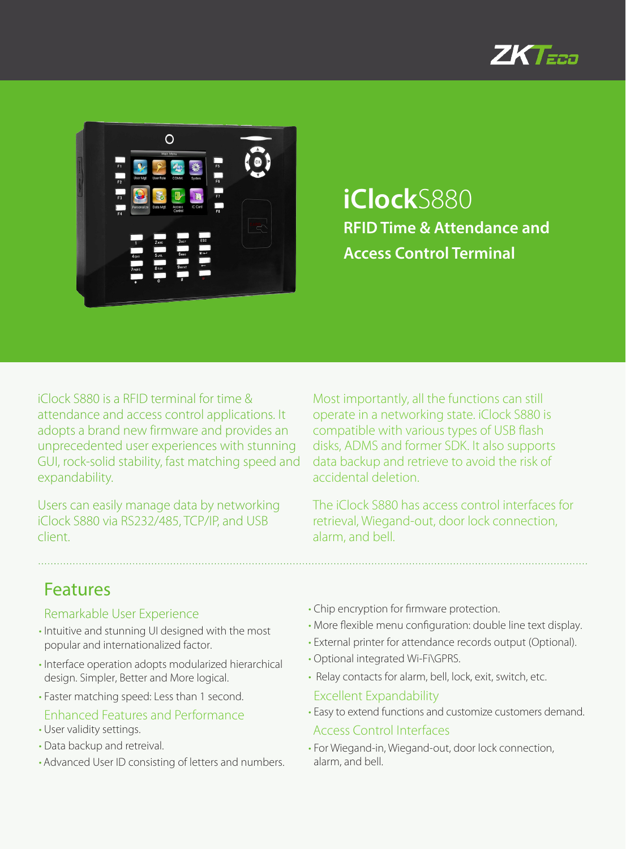



**iClock**S880 **RFID Time & Attendance and Access Control Terminal**

iClock S880 is a RFID terminal for time & attendance and access control applications. It adopts a brand new firmware and provides an unprecedented user experiences with stunning GUI, rock-solid stability, fast matching speed and expandability.

Users can easily manage data by networking iClock S880 via RS232/485, TCP/IP, and USB client.

Most importantly, all the functions can still operate in a networking state. iClock S880 is compatible with various types of USB flash disks, ADMS and former SDK. It also supports data backup and retrieve to avoid the risk of accidental deletion.

The iClock S880 has access control interfaces for retrieval, Wiegand-out, door lock connection, alarm, and bell.

## Features

#### Remarkable User Experience

- Intuitive and stunning UI designed with the most popular and internationalized factor.
- Interface operation adopts modularized hierarchical design. Simpler, Better and More logical.
- Faster matching speed: Less than 1 second.

### Enhanced Features and Performance

- User validity settings.
- Data backup and retreival.
- Advanced User ID consisting of letters and numbers.
- Chip encryption for firmware protection.
- More flexible menu configuration: double line text display.
- External printer for attendance records output (Optional).
- Optional integrated Wi-Fi\GPRS.
- Relay contacts for alarm, bell, lock, exit, switch, etc.
- Excellent Expandability
- Easy to extend functions and customize customers demand.
- Access Control Interfaces
- For Wiegand-in, Wiegand-out, door lock connection, alarm, and bell.